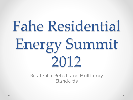# Fahe Residential Energy Summit 2012

Residential Rehab and Multifamily Standards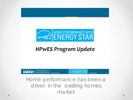

#### **HPwES Program Update**

U.S. DEPARTMENT OF Energy Efficiency & Renewable Energy eere.energy.gov **CONTRACTED** HOME PERFORMANCE WITH energystar.gov

Home performance has been a driver in the existing homes market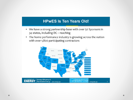#### **HPwES Is Ten Years Old!**

- We have a strong partnership base with over 50 Sponsors in 34 states, including DC - reaching
- The home performance industry is growing across the nation  $\bullet$ with over 1,800 participating contractors

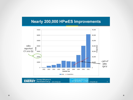#### **Nearly 200,000 HPwES Improvements**

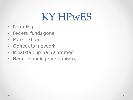### KY HPwES

- Retooling
- Federal funds gone
- Market share
- Contractor network
- Initial start up pain absorbed
- Need financing mechanisms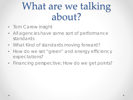### What are we talking about?

- Tom Carew insight
- All agencies have some sort of performance standards
- What Kind of standards moving forward?
- How do we set "green" and energy efficiency expectations?
- Financing perspective; How do we get points?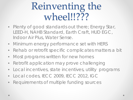### Reinventing the wheel!!???

- Plenty of good standards out there; Energy Star, LEED-H, NAHB Standard, Earth Craft, HUD EGC, Indoor Air Plus, Water Sense.
- Minimum energy performance set with HERS
- Rehab or retrofit specific complicates matters a bit
- Most programs written for new homes
- Retrofit application may prove challenging
- Local incentives, state incentives, utility programs
- Local codes, IECC 2009, IECC 2012, IGC
- Requirements of multiple funding sources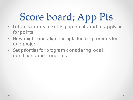# Score board; App Pts

- Lots of strategy to setting up points and to applying for points
- How might one align multiple funding sources for one project.
- Set priorities for program considering local conditions and concerns.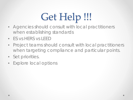# Get Help !!!

- Agencies should consult with local practitioners when establishing standards
- ES vs HERS vs LEED
- Project teams should consult with local practitioners when targeting compliance and particular points.
- Set priorities.
- Explore local options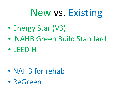### New vs. Existing

- Energy Star (V3)
- NAHB Green Build Standard
- **IFFD-H**

- NAHB for rehab
- ReGreen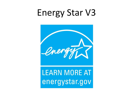### Energy Star V3



#### **LEARN MORE AT** energystar.gov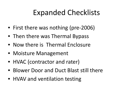#### Expanded Checklists

- First there was nothing (pre-2006)
- Then there was Thermal Bypass
- Now there is Thermal Enclosure
- Moisture Management
- HVAC (contractor and rater)
- Blower Door and Duct Blast still there
- HVAV and ventilation testing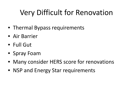### Very Difficult for Renovation

- Thermal Bypass requirements
- Air Barrier
- Full Gut
- Spray Foam
- Many consider HERS score for renovations
- NSP and Energy Star requirements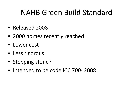#### NAHB Green Build Standard

- Released 2008
- 2000 homes recently reached
- Lower cost
- Less rigorous
- Stepping stone?
- Intended to be code ICC 700-2008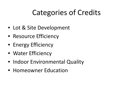### Categories of Credits

- Lot & Site Development
- Resource Efficiency
- Energy Efficiency
- Water Efficiency
- Indoor Environmental Quality
- Homeowner Education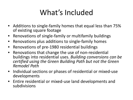#### What's Included

- Additions to single-family homes that equal less than 75% of existing square footage
- Renovations of single-family or multifamily buildings
- Renovations plus additions to single-family homes
- Renovations of pre-1980 residential buildings
- Renovations that change the use of non-residential buildings into residential uses. *Building conversions can be certified using the Green Building Path but not the Green Remodel Path*
- Individual sections or phases of residential or mixed-use developments
- Entire residential or mixed-use land developments and subdivisions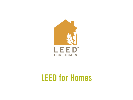

#### **LEED for Homes**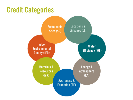#### **Credit Categories**

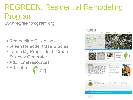### **REGREEN: Residential Remodeling** Program

www.regreenprogram.org

- Remodeling Guidelines
- Green Remodel Case Studies
- Green My Project Tool: Green **Strategy Generator**
- Additional resources
- Education



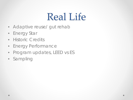### Real Life

- Adaptive reuse/ gut rehab
- Energy Star
- Historic Credits
- Energy Performance
- Program updates, LEED vs ES
- Sampling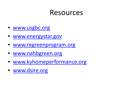#### Resources

- [www.usgbc.org](http://www.usgbc.org/)
- [www.energystar.gov](http://www.energystar.gov/)
- [www.regreenprogram.org](http://www.regreenprogram.org/)
- [www.nahbgreen.org](http://www.nahbgreen.org/)
- [www.kyhomeperformance.org](http://www.kyhomeperformance.org/)
- [www.dsire.org](http://www.dsire.org/)